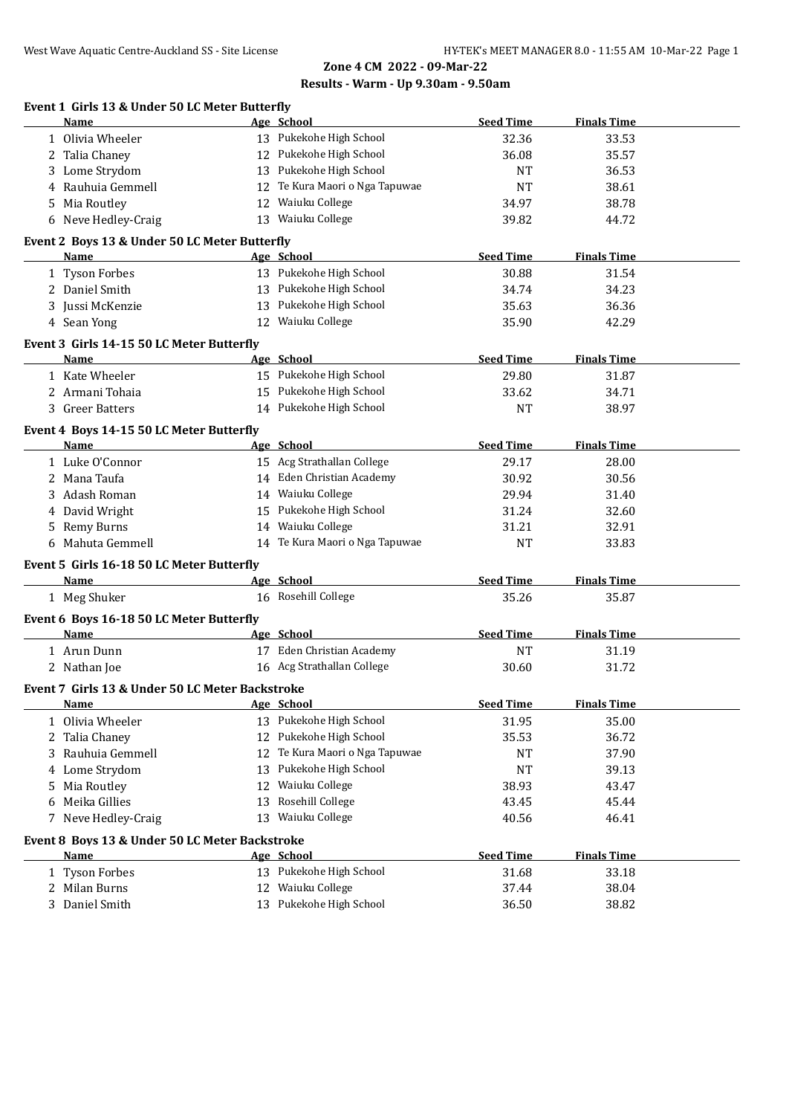**Zone 4 CM 2022 - 09-Mar-22**

### **Results - Warm - Up 9.30am - 9.50am**

| Event 1 Girls 13 & Under 50 LC Meter Butterfly<br>Name         |            | Age School                     | <b>Seed Time</b> | <b>Finals Time</b> |
|----------------------------------------------------------------|------------|--------------------------------|------------------|--------------------|
| 1 Olivia Wheeler                                               |            | 13 Pukekohe High School        | 32.36            | 33.53              |
| 2 Talia Chaney                                                 |            | 12 Pukekohe High School        | 36.08            | 35.57              |
| 3 Lome Strydom                                                 |            | 13 Pukekohe High School        |                  |                    |
| 4 Rauhuia Gemmell                                              |            | 12 Te Kura Maori o Nga Tapuwae | <b>NT</b>        | 36.53<br>38.61     |
|                                                                |            | 12 Waiuku College              | NT               |                    |
| 5 Mia Routley                                                  |            |                                | 34.97            | 38.78              |
| 6 Neve Hedley-Craig                                            |            | 13 Waiuku College              | 39.82            | 44.72              |
| Event 2 Boys 13 & Under 50 LC Meter Butterfly                  |            |                                |                  |                    |
| Name                                                           |            | Age School                     | <b>Seed Time</b> | <b>Finals Time</b> |
| 1 Tyson Forbes                                                 |            | 13 Pukekohe High School        | 30.88            | 31.54              |
| 2 Daniel Smith                                                 |            | 13 Pukekohe High School        | 34.74            | 34.23              |
| 3 Jussi McKenzie                                               |            | 13 Pukekohe High School        | 35.63            | 36.36              |
| 4 Sean Yong                                                    |            | 12 Waiuku College              | 35.90            | 42.29              |
| Event 3 Girls 14-15 50 LC Meter Butterfly                      |            |                                |                  |                    |
| Name                                                           |            | Age School                     | <b>Seed Time</b> | <b>Finals Time</b> |
| 1 Kate Wheeler                                                 |            | 15 Pukekohe High School        | 29.80            | 31.87              |
| 2 Armani Tohaia                                                |            | 15 Pukekohe High School        | 33.62            | 34.71              |
| 3 Greer Batters                                                |            | 14 Pukekohe High School        | <b>NT</b>        | 38.97              |
| Event 4 Boys 14-15 50 LC Meter Butterfly                       |            |                                |                  |                    |
| Name                                                           |            | Age School                     | <b>Seed Time</b> | <b>Finals Time</b> |
| 1 Luke O'Connor                                                |            | 15 Acg Strathallan College     | 29.17            | 28.00              |
| 2 Mana Taufa                                                   |            | 14 Eden Christian Academy      | 30.92            | 30.56              |
| Adash Roman<br>3                                               |            | 14 Waiuku College              | 29.94            | 31.40              |
| 4 David Wright                                                 |            | 15 Pukekohe High School        | 31.24            | 32.60              |
| Remy Burns<br>5                                                |            | 14 Waiuku College              | 31.21            | 32.91              |
| 6 Mahuta Gemmell                                               |            | 14 Te Kura Maori o Nga Tapuwae | NT               | 33.83              |
| Event 5 Girls 16-18 50 LC Meter Butterfly                      |            |                                |                  |                    |
| Name                                                           |            | Age School                     | <b>Seed Time</b> | <b>Finals Time</b> |
| 1 Meg Shuker                                                   |            | 16 Rosehill College            | 35.26            | 35.87              |
| Event 6 Boys 16-18 50 LC Meter Butterfly                       |            |                                |                  |                    |
| Name                                                           | Age School |                                | <b>Seed Time</b> | <b>Finals Time</b> |
| 1 Arun Dunn                                                    |            | 17 Eden Christian Academy      | <b>NT</b>        | 31.19              |
| 2 Nathan Joe                                                   |            | 16 Acg Strathallan College     | 30.60            | 31.72              |
|                                                                |            |                                |                  |                    |
| Event 7 Girls 13 & Under 50 LC Meter Backstroke<br><u>Name</u> |            | Age School                     | <b>Seed Time</b> | <b>Finals Time</b> |
| 1 Olivia Wheeler                                               |            | 13 Pukekohe High School        | 31.95            | 35.00              |
|                                                                |            | 12 Pukekohe High School        |                  |                    |
| 2 Talia Chaney                                                 |            | 12 Te Kura Maori o Nga Tapuwae | 35.53            | 36.72              |
| Rauhuia Gemmell<br>3                                           |            |                                | NT               | 37.90              |
| 4 Lome Strydom                                                 |            | 13 Pukekohe High School        | <b>NT</b>        | 39.13              |
| 5 Mia Routley                                                  |            | 12 Waiuku College              | 38.93            | 43.47              |
| 6 Meika Gillies                                                |            | 13 Rosehill College            | 43.45            | 45.44              |
| 7 Neve Hedley-Craig                                            |            | 13 Waiuku College              | 40.56            | 46.41              |
| Event 8 Boys 13 & Under 50 LC Meter Backstroke                 |            |                                |                  |                    |
| <b>Name</b>                                                    |            | Age School                     | <b>Seed Time</b> | <b>Finals Time</b> |
| 1 Tyson Forbes                                                 |            | 13 Pukekohe High School        | 31.68            | 33.18              |
| 2 Milan Burns                                                  |            | 12 Waiuku College              | 37.44            | 38.04              |
| 3 Daniel Smith                                                 |            | 13 Pukekohe High School        | 36.50            | 38.82              |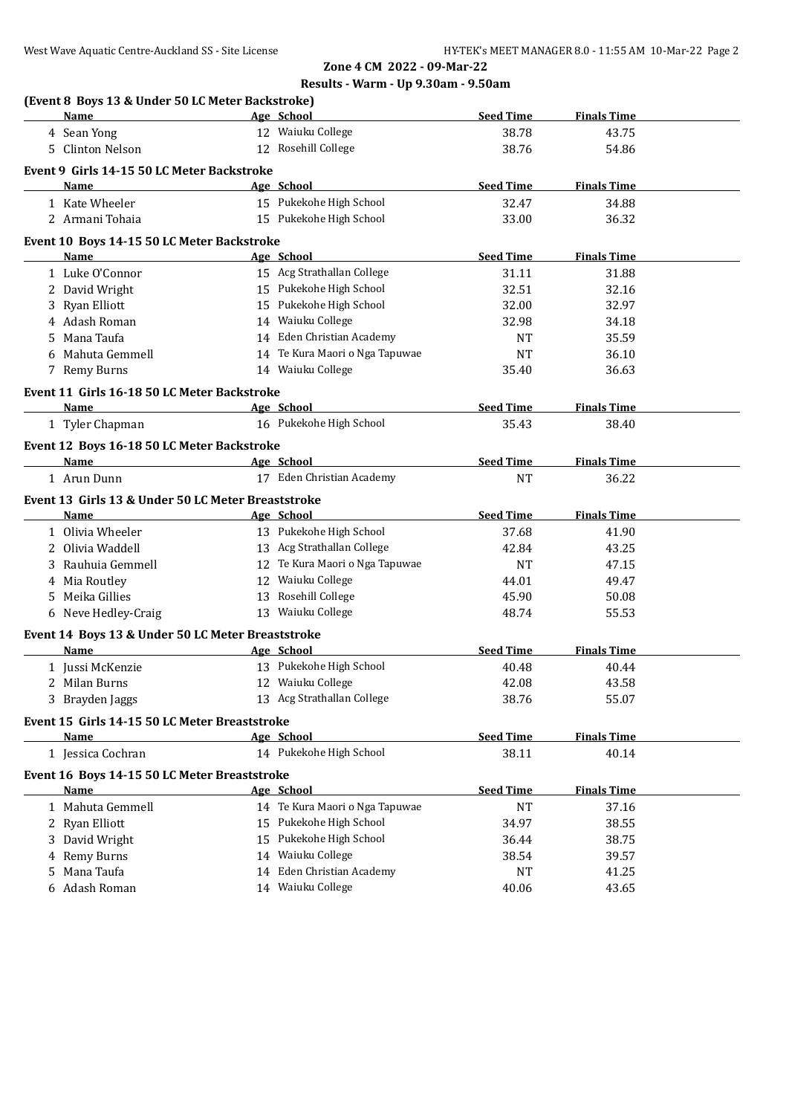# **Results - Warm - Up 9.30am - 9.50am**

|    | (Event 8 Boys 13 & Under 50 LC Meter Backstroke)<br>Name | Age School                     | <b>Seed Time</b> | <b>Finals Time</b> |  |
|----|----------------------------------------------------------|--------------------------------|------------------|--------------------|--|
|    | 4 Sean Yong                                              | 12 Waiuku College              | 38.78            | 43.75              |  |
|    | 5 Clinton Nelson                                         | 12 Rosehill College            | 38.76            | 54.86              |  |
|    | Event 9 Girls 14-15 50 LC Meter Backstroke               |                                |                  |                    |  |
|    | Name                                                     | Age School                     | <b>Seed Time</b> | <b>Finals Time</b> |  |
|    | 1 Kate Wheeler                                           | 15 Pukekohe High School        | 32.47            | 34.88              |  |
|    | 2 Armani Tohaia                                          | 15 Pukekohe High School        | 33.00            | 36.32              |  |
|    |                                                          |                                |                  |                    |  |
|    | Event 10 Boys 14-15 50 LC Meter Backstroke               |                                |                  |                    |  |
|    | Name                                                     | Age School                     | <b>Seed Time</b> | <b>Finals Time</b> |  |
|    | 1 Luke O'Connor                                          | 15 Acg Strathallan College     | 31.11            | 31.88              |  |
|    | 2 David Wright                                           | 15 Pukekohe High School        | 32.51            | 32.16              |  |
|    | 3 Ryan Elliott                                           | 15 Pukekohe High School        | 32.00            | 32.97              |  |
|    | 4 Adash Roman                                            | 14 Waiuku College              | 32.98            | 34.18              |  |
|    | 5 Mana Taufa                                             | 14 Eden Christian Academy      | <b>NT</b>        | 35.59              |  |
|    | 6 Mahuta Gemmell                                         | 14 Te Kura Maori o Nga Tapuwae | <b>NT</b>        | 36.10              |  |
|    | 7 Remy Burns                                             | 14 Waiuku College              | 35.40            | 36.63              |  |
|    | Event 11 Girls 16-18 50 LC Meter Backstroke              |                                |                  |                    |  |
|    | Name                                                     | Age School                     | <b>Seed Time</b> | <b>Finals Time</b> |  |
|    | 1 Tyler Chapman                                          | 16 Pukekohe High School        | 35.43            | 38.40              |  |
|    |                                                          |                                |                  |                    |  |
|    | Event 12 Boys 16-18 50 LC Meter Backstroke               |                                |                  | <b>Finals Time</b> |  |
|    | Name                                                     | Age School                     | <b>Seed Time</b> |                    |  |
|    | 1 Arun Dunn                                              | 17 Eden Christian Academy      | <b>NT</b>        | 36.22              |  |
|    | Event 13 Girls 13 & Under 50 LC Meter Breaststroke       |                                |                  |                    |  |
|    | Name                                                     | Age School                     | <b>Seed Time</b> | <b>Finals Time</b> |  |
|    | 1 Olivia Wheeler                                         | 13 Pukekohe High School        | 37.68            | 41.90              |  |
|    | 2 Olivia Waddell                                         | 13 Acg Strathallan College     | 42.84            | 43.25              |  |
|    | 3 Rauhuia Gemmell                                        | 12 Te Kura Maori o Nga Tapuwae | <b>NT</b>        | 47.15              |  |
|    | 4 Mia Routley                                            | 12 Waiuku College              | 44.01            | 49.47              |  |
|    | 5 Meika Gillies                                          | 13 Rosehill College            | 45.90            | 50.08              |  |
|    | 6 Neve Hedley-Craig                                      | 13 Waiuku College              | 48.74            | 55.53              |  |
|    | Event 14 Boys 13 & Under 50 LC Meter Breaststroke        |                                |                  |                    |  |
|    | Name                                                     | Age School                     | <b>Seed Time</b> | <b>Finals Time</b> |  |
|    | 1 Jussi McKenzie                                         | 13 Pukekohe High School        | 40.48            | 40.44              |  |
|    | 2 Milan Burns                                            | 12 Waiuku College              | 42.08            | 43.58              |  |
|    | 3 Brayden Jaggs                                          | 13 Acg Strathallan College     | 38.76            | 55.07              |  |
|    |                                                          |                                |                  |                    |  |
|    | Event 15 Girls 14-15 50 LC Meter Breaststroke            |                                |                  |                    |  |
|    | Name                                                     | Age School                     | <b>Seed Time</b> | <b>Finals Time</b> |  |
|    | 1 Jessica Cochran                                        | 14 Pukekohe High School        | 38.11            | 40.14              |  |
|    | Event 16 Boys 14-15 50 LC Meter Breaststroke             |                                |                  |                    |  |
|    | Name                                                     | Age School                     | <b>Seed Time</b> | <b>Finals Time</b> |  |
|    | 1 Mahuta Gemmell                                         | 14 Te Kura Maori o Nga Tapuwae | <b>NT</b>        | 37.16              |  |
|    | 2 Ryan Elliott                                           | 15 Pukekohe High School        | 34.97            | 38.55              |  |
|    | 3 David Wright                                           | 15 Pukekohe High School        | 36.44            | 38.75              |  |
| 4  | Remy Burns                                               | 14 Waiuku College              | 38.54            | 39.57              |  |
| 5. | Mana Taufa                                               | 14 Eden Christian Academy      | <b>NT</b>        | 41.25              |  |
|    | Adash Roman                                              | 14 Waiuku College              | 40.06            | 43.65              |  |
|    |                                                          |                                |                  |                    |  |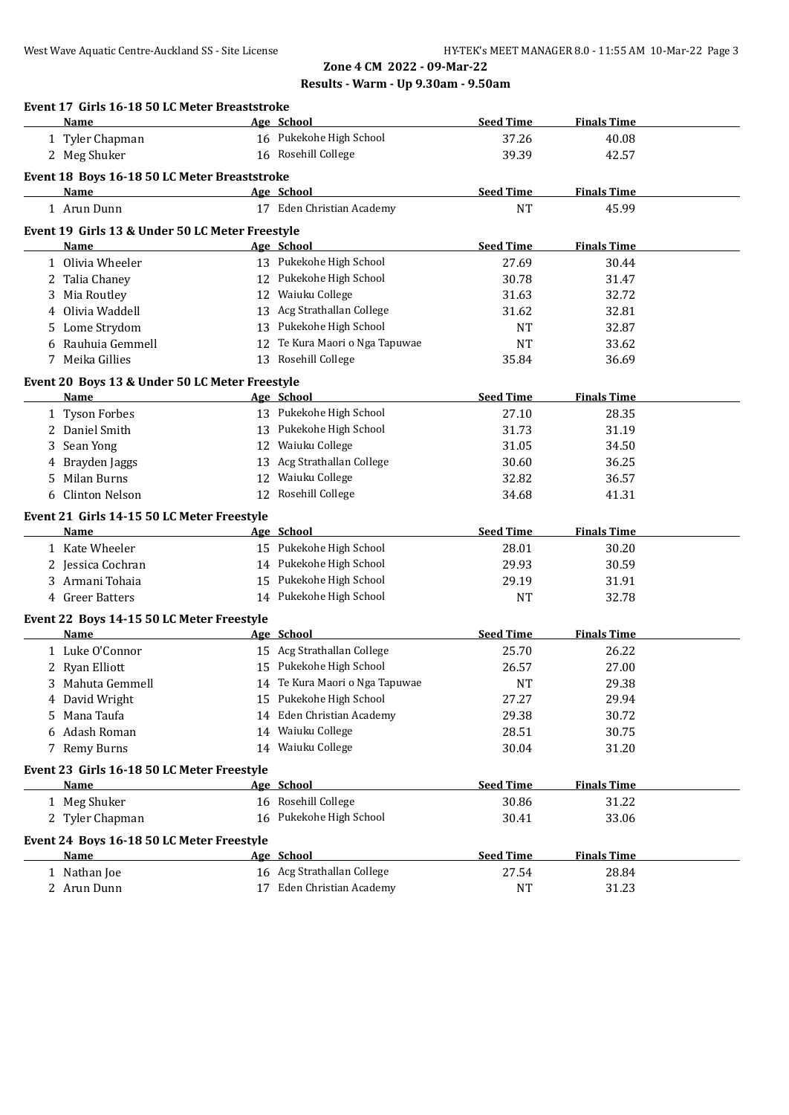## **Zone 4 CM 2022 - 09-Mar-22 Results - Warm - Up 9.30am - 9.50am**

|    | Event 17 Girls 16-18 50 LC Meter Breaststroke<br>Name |    | Age School                            | <b>Seed Time</b>          | <b>Finals Time</b> |
|----|-------------------------------------------------------|----|---------------------------------------|---------------------------|--------------------|
|    | 1 Tyler Chapman                                       |    | 16 Pukekohe High School               | 37.26                     | 40.08              |
|    | 2 Meg Shuker                                          |    | 16 Rosehill College                   | 39.39                     | 42.57              |
|    |                                                       |    |                                       |                           |                    |
|    | Event 18 Boys 16-18 50 LC Meter Breaststroke<br>Name  |    | Age School                            | <b>Seed Time</b>          | <b>Finals Time</b> |
|    | 1 Arun Dunn                                           |    | 17 Eden Christian Academy             | <b>NT</b>                 | 45.99              |
|    |                                                       |    |                                       |                           |                    |
|    | Event 19 Girls 13 & Under 50 LC Meter Freestyle       |    |                                       |                           |                    |
|    | Name<br>1 Olivia Wheeler                              |    | Age School<br>13 Pukekohe High School | <b>Seed Time</b><br>27.69 | <b>Finals Time</b> |
|    |                                                       |    |                                       |                           | 30.44              |
| 2  | Talia Chaney                                          |    | 12 Pukekohe High School               | 30.78                     | 31.47              |
| 3  | Mia Routley                                           |    | 12 Waiuku College                     | 31.63                     | 32.72              |
| 4  | Olivia Waddell                                        |    | 13 Acg Strathallan College            | 31.62                     | 32.81              |
| 5. | Lome Strydom                                          |    | 13 Pukekohe High School               | <b>NT</b>                 | 32.87              |
| 6  | Rauhuia Gemmell                                       |    | 12 Te Kura Maori o Nga Tapuwae        | <b>NT</b>                 | 33.62              |
|    | 7 Meika Gillies                                       |    | 13 Rosehill College                   | 35.84                     | 36.69              |
|    | Event 20 Boys 13 & Under 50 LC Meter Freestyle        |    |                                       |                           |                    |
|    | Name                                                  |    | Age School                            | <b>Seed Time</b>          | <b>Finals Time</b> |
|    | 1 Tyson Forbes                                        |    | 13 Pukekohe High School               | 27.10                     | 28.35              |
| 2  | Daniel Smith                                          |    | 13 Pukekohe High School               | 31.73                     | 31.19              |
| 3  | Sean Yong                                             |    | 12 Waiuku College                     | 31.05                     | 34.50              |
| 4  | Brayden Jaggs                                         |    | 13 Acg Strathallan College            | 30.60                     | 36.25              |
| 5  | <b>Milan Burns</b>                                    |    | 12 Waiuku College                     | 32.82                     | 36.57              |
| 6  | <b>Clinton Nelson</b>                                 |    | 12 Rosehill College                   | 34.68                     | 41.31              |
|    |                                                       |    |                                       |                           |                    |
|    | Event 21 Girls 14-15 50 LC Meter Freestyle<br>Name    |    | Age School                            | <b>Seed Time</b>          | <b>Finals Time</b> |
|    | 1 Kate Wheeler                                        |    | 15 Pukekohe High School               | 28.01                     | 30.20              |
|    | 2 Jessica Cochran                                     |    | 14 Pukekohe High School               | 29.93                     | 30.59              |
|    | 3 Armani Tohaia                                       |    | 15 Pukekohe High School               | 29.19                     | 31.91              |
|    | 4 Greer Batters                                       |    | 14 Pukekohe High School               | <b>NT</b>                 | 32.78              |
|    |                                                       |    |                                       |                           |                    |
|    | Event 22 Boys 14-15 50 LC Meter Freestyle             |    |                                       |                           |                    |
|    | Name                                                  |    | Age School                            | <b>Seed Time</b>          | <b>Finals Time</b> |
|    | 1 Luke O'Connor                                       |    | 15 Acg Strathallan College            | 25.70                     | 26.22              |
|    | 2 Ryan Elliott                                        |    | 15 Pukekohe High School               | 26.57                     | 27.00              |
|    | 3 Mahuta Gemmell                                      |    | 14 Te Kura Maori o Nga Tapuwae        | <b>NT</b>                 | 29.38              |
|    | 4 David Wright                                        |    | 15 Pukekohe High School               | 27.27                     | 29.94              |
| 5  | Mana Taufa                                            |    | 14 Eden Christian Academy             | 29.38                     | 30.72              |
| 6  | Adash Roman                                           | 14 | Waiuku College                        | 28.51                     | 30.75              |
|    | 7 Remy Burns                                          |    | 14 Waiuku College                     | 30.04                     | 31.20              |
|    | Event 23 Girls 16-18 50 LC Meter Freestyle            |    |                                       |                           |                    |
|    | <b>Name</b>                                           |    | Age School                            | <b>Seed Time</b>          | <b>Finals Time</b> |
|    | 1 Meg Shuker                                          |    | 16 Rosehill College                   | 30.86                     | 31.22              |
|    | 2 Tyler Chapman                                       |    | 16 Pukekohe High School               | 30.41                     | 33.06              |
|    |                                                       |    |                                       |                           |                    |
|    | Event 24 Boys 16-18 50 LC Meter Freestyle             |    |                                       |                           |                    |
|    | <b>Name</b>                                           |    | Age School                            | <b>Seed Time</b>          | <b>Finals Time</b> |
|    | 1 Nathan Joe                                          |    | 16 Acg Strathallan College            | 27.54                     | 28.84              |
|    | 2 Arun Dunn                                           |    | 17 Eden Christian Academy             | <b>NT</b>                 | 31.23              |